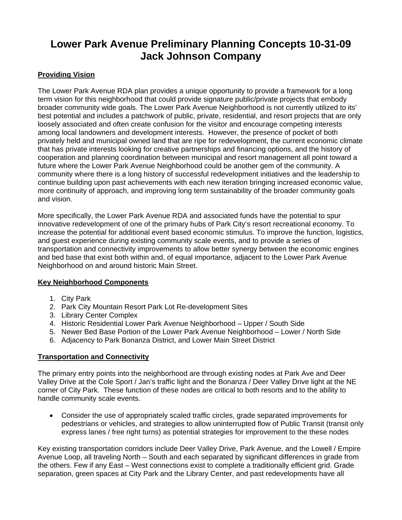# **Lower Park Avenue Preliminary Planning Concepts 10-31-09 Jack Johnson Company**

### **Providing Vision**

The Lower Park Avenue RDA plan provides a unique opportunity to provide a framework for a long term vision for this neighborhood that could provide signature public/private projects that embody broader community wide goals. The Lower Park Avenue Neighborhood is not currently utilized to its' best potential and includes a patchwork of public, private, residential, and resort projects that are only loosely associated and often create confusion for the visitor and encourage competing interests among local landowners and development interests. However, the presence of pocket of both privately held and municipal owned land that are ripe for redevelopment, the current economic climate that has private interests looking for creative partnerships and financing options, and the history of cooperation and planning coordination between municipal and resort management all point toward a future where the Lower Park Avenue Neighborhood could be another gem of the community. A community where there is a long history of successful redevelopment initiatives and the leadership to continue building upon past achievements with each new iteration bringing increased economic value, more continuity of approach, and improving long term sustainability of the broader community goals and vision.

More specifically, the Lower Park Avenue RDA and associated funds have the potential to spur innovative redevelopment of one of the primary hubs of Park City's resort recreational economy. To increase the potential for additional event based economic stimulus. To improve the function, logistics, and guest experience during existing community scale events, and to provide a series of transportation and connectivity improvements to allow better synergy between the economic engines and bed base that exist both within and, of equal importance, adjacent to the Lower Park Avenue Neighborhood on and around historic Main Street.

### **Key Neighborhood Components**

- 1. City Park
- 2. Park City Mountain Resort Park Lot Re-development Sites
- 3. Library Center Complex
- 4. Historic Residential Lower Park Avenue Neighborhood Upper / South Side
- 5. Newer Bed Base Portion of the Lower Park Avenue Neighborhood Lower / North Side
- 6. Adjacency to Park Bonanza District, and Lower Main Street District

### **Transportation and Connectivity**

The primary entry points into the neighborhood are through existing nodes at Park Ave and Deer Valley Drive at the Cole Sport / Jan's traffic light and the Bonanza / Deer Valley Drive light at the NE corner of City Park. These function of these nodes are critical to both resorts and to the ability to handle community scale events.

 Consider the use of appropriately scaled traffic circles, grade separated improvements for pedestrians or vehicles, and strategies to allow uninterrupted flow of Public Transit (transit only express lanes / free right turns) as potential strategies for improvement to the these nodes

Key existing transportation corridors include Deer Valley Drive, Park Avenue, and the Lowell / Empire Avenue Loop, all traveling North – South and each separated by significant differences in grade from the others. Few if any East – West connections exist to complete a traditionally efficient grid. Grade separation, green spaces at City Park and the Library Center, and past redevelopments have all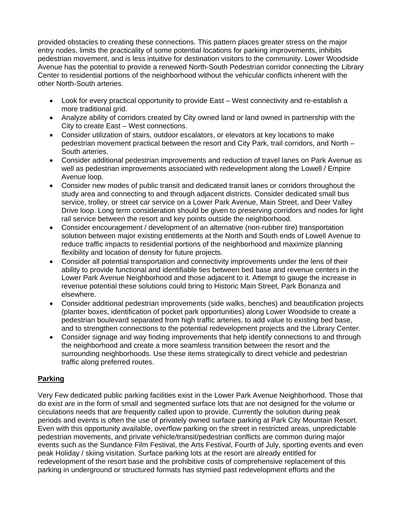provided obstacles to creating these connections. This pattern places greater stress on the major entry nodes, limits the practicality of some potential locations for parking improvements, inhibits pedestrian movement, and is less intuitive for destination visitors to the community. Lower Woodside Avenue has the potential to provide a renewed North-South Pedestrian corridor connecting the Library Center to residential portions of the neighborhood without the vehicular conflicts inherent with the other North-South arteries.

- Look for every practical opportunity to provide East West connectivity and re-establish a more traditional grid.
- Analyze ability of corridors created by City owned land or land owned in partnership with the City to create East – West connections.
- Consider utilization of stairs, outdoor escalators, or elevators at key locations to make pedestrian movement practical between the resort and City Park, trail corridors, and North – South arteries.
- Consider additional pedestrian improvements and reduction of travel lanes on Park Avenue as well as pedestrian improvements associated with redevelopment along the Lowell / Empire Avenue loop.
- Consider new modes of public transit and dedicated transit lanes or corridors throughout the study area and connecting to and through adjacent districts. Consider dedicated small bus service, trolley, or street car service on a Lower Park Avenue, Main Street, and Deer Valley Drive loop. Long term consideration should be given to preserving corridors and nodes for light rail service between the resort and key points outside the neighborhood.
- Consider encouragement / development of an alternative (non-rubber tire) transportation solution between major existing entitlements at the North and South ends of Lowell Avenue to reduce traffic impacts to residential portions of the neighborhood and maximize planning flexibility and location of density for future projects.
- Consider all potential transportation and connectivity improvements under the lens of their ability to provide functional and identifiable ties between bed base and revenue centers in the Lower Park Avenue Neighborhood and those adjacent to it. Attempt to gauge the increase in revenue potential these solutions could bring to Historic Main Street, Park Bonanza and elsewhere.
- Consider additional pedestrian improvements (side walks, benches) and beautification projects (planter boxes, identification of pocket park opportunities) along Lower Woodside to create a pedestrian boulevard separated from high traffic arteries, to add value to existing bed base, and to strengthen connections to the potential redevelopment projects and the Library Center.
- Consider signage and way finding improvements that help identify connections to and through the neighborhood and create a more seamless transition between the resort and the surrounding neighborhoods. Use these items strategically to direct vehicle and pedestrian traffic along preferred routes.

## **Parking**

Very Few dedicated public parking facilities exist in the Lower Park Avenue Neighborhood. Those that do exist are in the form of small and segmented surface lots that are not designed for the volume or circulations needs that are frequently called upon to provide. Currently the solution during peak periods and events is often the use of privately owned surface parking at Park City Mountain Resort. Even with this opportunity available, overflow parking on the street in restricted areas, unpredictable pedestrian movements, and private vehicle/transit/pedestrian conflicts are common during major events such as the Sundance Film Festival, the Arts Festival, Fourth of July, sporting events and even peak Holiday / skiing visitation. Surface parking lots at the resort are already entitled for redevelopment of the resort base and the prohibitive costs of comprehensive replacement of this parking in underground or structured formats has stymied past redevelopment efforts and the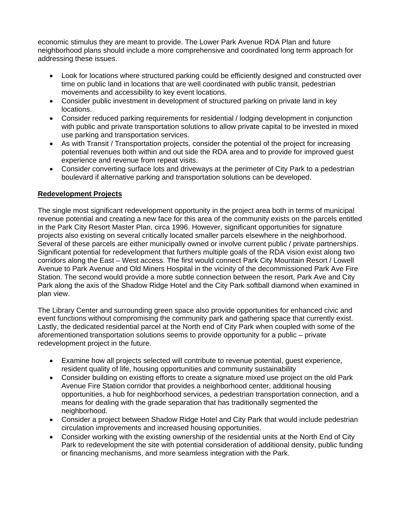economic stimulus they are meant to provide. The Lower Park Avenue RDA Plan and future neighborhood plans should include a more comprehensive and coordinated long term approach for addressing these issues.

- Look for locations where structured parking could be efficiently designed and constructed over time on public land in locations that are well coordinated with public transit, pedestrian movements and accessibility to key event locations.
- Consider public investment in development of structured parking on private land in key locations.
- Consider reduced parking requirements for residential / lodging development in conjunction with public and private transportation solutions to allow private capital to be invested in mixed use parking and transportation services.
- As with Transit / Transportation projects, consider the potential of the project for increasing potential revenues both within and out side the RDA area and to provide for improved guest experience and revenue from repeat visits.
- Consider converting surface lots and driveways at the perimeter of City Park to a pedestrian boulevard if alternative parking and transportation solutions can be developed.

#### **Redevelopment Projects**

The single most significant redevelopment opportunity in the project area both in terms of municipal revenue potential and creating a new face for this area of the community exists on the parcels entitled in the Park City Resort Master Plan, circa 1996. However, significant opportunities for signature projects also existing on several critically located smaller parcels elsewhere in the neighborhood. Several of these parcels are either municipally owned or involve current public / private partnerships. Significant potential for redevelopment that furthers multiple goals of the RDA vision exist along two corridors along the East – West access. The first would connect Park City Mountain Resort / Lowell Avenue to Park Avenue and Old Miners Hospital in the vicinity of the decommissioned Park Ave Fire Station. The second would provide a more subtle connection between the resort, Park Ave and City Park along the axis of the Shadow Ridge Hotel and the City Park softball diamond when examined in plan view.

The Library Center and surrounding green space also provide opportunities for enhanced civic and event functions without compromising the community park and gathering space that currently exist. Lastly, the dedicated residential parcel at the North end of City Park when coupled with some of the aforementioned transportation solutions seems to provide opportunity for a public – private redevelopment project in the future.

- Examine how all projects selected will contribute to revenue potential, guest experience, resident quality of life, housing opportunities and community sustainability
- Consider building on existing efforts to create a signature mixed use project on the old Park Avenue Fire Station corridor that provides a neighborhood center, additional housing opportunities, a hub for neighborhood services, a pedestrian transportation connection, and a means for dealing with the grade separation that has traditionally segmented the neighborhood.
- Consider a project between Shadow Ridge Hotel and City Park that would include pedestrian circulation improvements and increased housing opportunities.
- Consider working with the existing ownership of the residential units at the North End of City Park to redevelopment the site with potential consideration of additional density, public funding or financing mechanisms, and more seamless integration with the Park.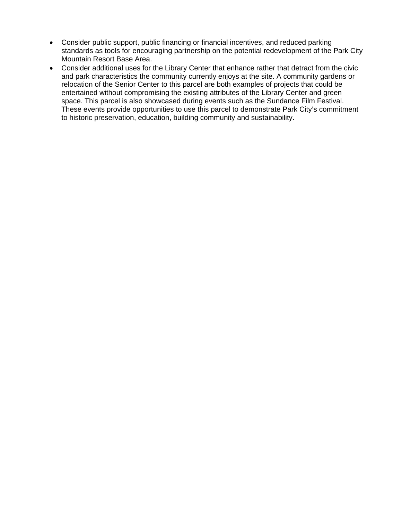- Consider public support, public financing or financial incentives, and reduced parking standards as tools for encouraging partnership on the potential redevelopment of the Park City Mountain Resort Base Area.
- Consider additional uses for the Library Center that enhance rather that detract from the civic and park characteristics the community currently enjoys at the site. A community gardens or relocation of the Senior Center to this parcel are both examples of projects that could be entertained without compromising the existing attributes of the Library Center and green space. This parcel is also showcased during events such as the Sundance Film Festival. These events provide opportunities to use this parcel to demonstrate Park City's commitment to historic preservation, education, building community and sustainability.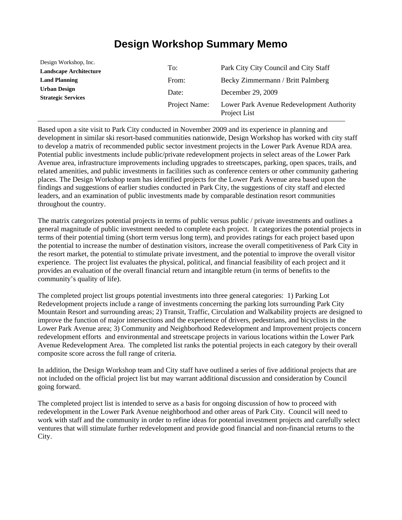# **Design Workshop Summary Memo**

| Design Workshop, Inc.                            |               |                                                           |
|--------------------------------------------------|---------------|-----------------------------------------------------------|
| <b>Landscape Architecture</b>                    | To:           | Park City City Council and City Staff                     |
| <b>Land Planning</b>                             | From:         | Becky Zimmermann / Britt Palmberg                         |
| <b>Urban Design</b><br><b>Strategic Services</b> | Date:         | December 29, 2009                                         |
|                                                  | Project Name: | Lower Park Avenue Redevelopment Authority<br>Project List |

Based upon a site visit to Park City conducted in November 2009 and its experience in planning and development in similar ski resort-based communities nationwide, Design Workshop has worked with city staff to develop a matrix of recommended public sector investment projects in the Lower Park Avenue RDA area. Potential public investments include public/private redevelopment projects in select areas of the Lower Park Avenue area, infrastructure improvements including upgrades to streetscapes, parking, open spaces, trails, and related amenities, and public investments in facilities such as conference centers or other community gathering places. The Design Workshop team has identified projects for the Lower Park Avenue area based upon the findings and suggestions of earlier studies conducted in Park City, the suggestions of city staff and elected leaders, and an examination of public investments made by comparable destination resort communities throughout the country.

The matrix categorizes potential projects in terms of public versus public / private investments and outlines a general magnitude of public investment needed to complete each project. It categorizes the potential projects in terms of their potential timing (short term versus long term), and provides ratings for each project based upon the potential to increase the number of destination visitors, increase the overall competitiveness of Park City in the resort market, the potential to stimulate private investment, and the potential to improve the overall visitor experience. The project list evaluates the physical, political, and financial feasibility of each project and it provides an evaluation of the overall financial return and intangible return (in terms of benefits to the community's quality of life).

The completed project list groups potential investments into three general categories: 1) Parking Lot Redevelopment projects include a range of investments concerning the parking lots surrounding Park City Mountain Resort and surrounding areas; 2) Transit, Traffic, Circulation and Walkability projects are designed to improve the function of major intersections and the experience of drivers, pedestrians, and bicyclists in the Lower Park Avenue area; 3) Community and Neighborhood Redevelopment and Improvement projects concern redevelopment efforts and environmental and streetscape projects in various locations within the Lower Park Avenue Redevelopment Area. The completed list ranks the potential projects in each category by their overall composite score across the full range of criteria.

In addition, the Design Workshop team and City staff have outlined a series of five additional projects that are not included on the official project list but may warrant additional discussion and consideration by Council going forward.

The completed project list is intended to serve as a basis for ongoing discussion of how to proceed with redevelopment in the Lower Park Avenue neighborhood and other areas of Park City. Council will need to work with staff and the community in order to refine ideas for potential investment projects and carefully select ventures that will stimulate further redevelopment and provide good financial and non-financial returns to the City.